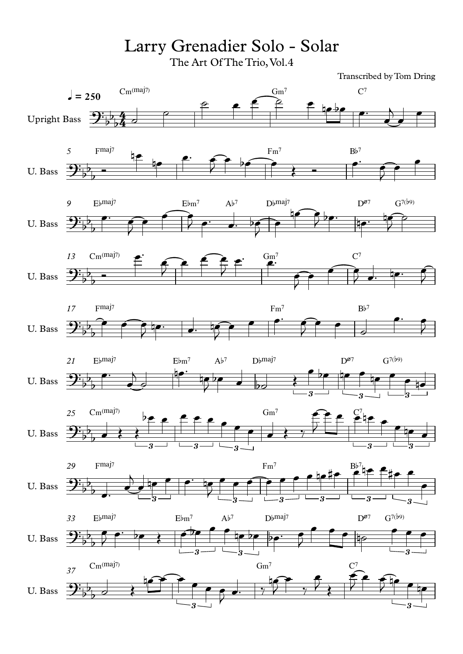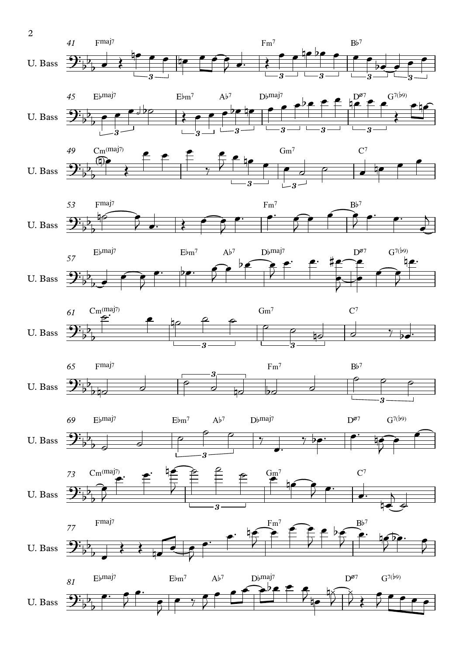